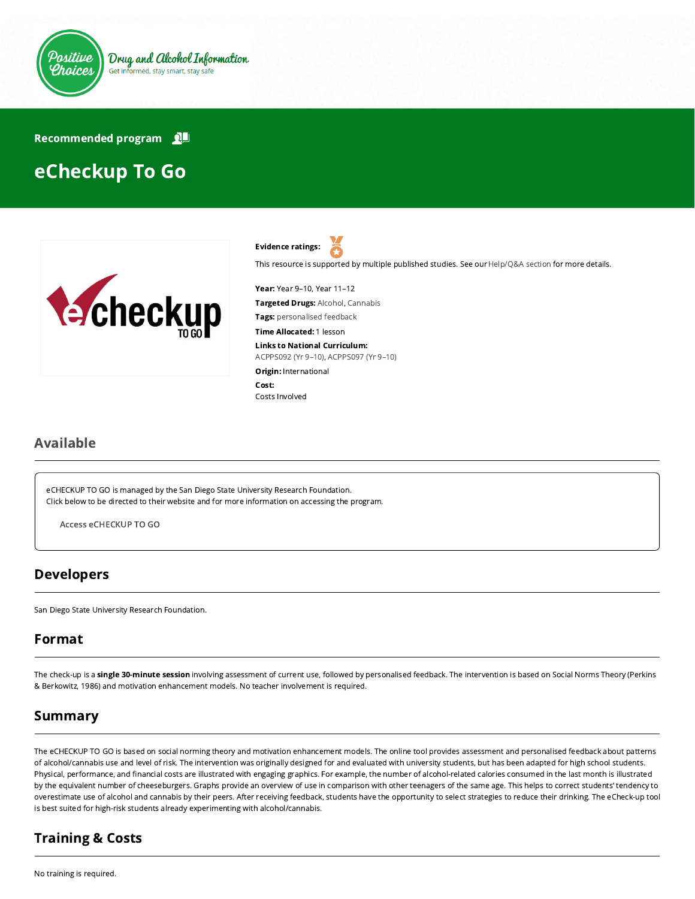

Recommended program

# eCheckup To Go





This resource is supported by multiple published studies. See our [Help/Q&A section](https://positivechoices.org.au/help/questions-and-answers/) for more details.

Year: Year 9–10, Year 11–12 Targeted Drugs: Alcohol, Cannabis Tags: personalised feedback

Time Allocated: 1 lesson

Links to National Curriculum:

[ACPPS092 \(Yr 9–10\),](http://www.australiancurriculum.edu.au/Curriculum/ContentDescription/ACPPS092) [ACPPS097 \(Yr 9–10\)](http://www.australiancurriculum.edu.au/Curriculum/ContentDescription/ACPPS097)

Origin: International Cost: Costs Involved

#### Available

eCHECKUP TO GO is managed by the San Diego State University Research Foundation. Click below to be directed to their website and for more information on accessing the program.

Access [eCHECKUP](http://www.echeckuptogo.com/) TO GO

## Developers

San Diego State University Research Foundation.

## Format

The check-up is a single 30-minute session involving assessment of current use, followed by personalised feedback. The intervention is based on Social Norms Theory (Perkins & Berkowitz, 1986) and motivation enhancement models. No teacher involvement is required.

## Summary

The eCHECKUP TO GO is based on social norming theory and motivation enhancement models. The online tool provides assessment and personalised feedback about patterns of alcohol/cannabis use and level of risk. The intervention was originally designed for and evaluated with university students, but has been adapted for high school students. Physical, performance, and financial costs are illustrated with engaging graphics. For example, the number of alcohol-related calories consumed in the last month is illustrated by the equivalent number of cheeseburgers. Graphs provide an overview of use in comparison with other teenagers of the same age. This helps to correct students' tendency to overestimate use of alcohol and cannabis by their peers. After receiving feedback, students have the opportunity to select strategies to reduce their drinking. The eCheck-up tool is best suited for high-risk students already experimenting with alcohol/cannabis.

## Training & Costs